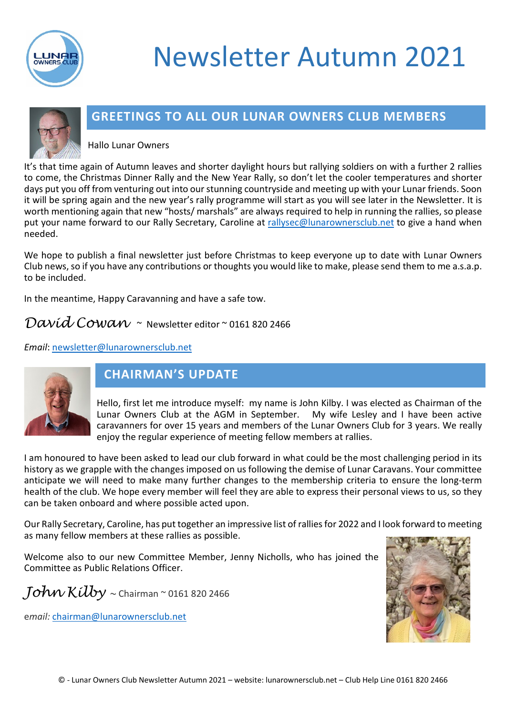

# Newsletter Autumn 2021



## **GREETINGS TO ALL OUR LUNAR OWNERS CLUB MEMBERS**

Hallo Lunar Owners

It's that time again of Autumn leaves and shorter daylight hours but rallying soldiers on with a further 2 rallies to come, the Christmas Dinner Rally and the New Year Rally, so don't let the cooler temperatures and shorter days put you off from venturing out into our stunning countryside and meeting up with your Lunar friends. Soon it will be spring again and the new year's rally programme will start as you will see later in the Newsletter. It is worth mentioning again that new "hosts/ marshals" are always required to help in running the rallies, so please put your name forward to our Rally Secretary, Caroline at [rallysec@lunarownersclub.net](mailto:rallysec@lunarownersclub.net) to give a hand when needed.

We hope to publish a final newsletter just before Christmas to keep everyone up to date with Lunar Owners Club news, so if you have any contributions or thoughts you would like to make, please send them to me a.s.a.p. to be included.

In the meantime, Happy Caravanning and have a safe tow.

David Cowan ~ Newsletter editor ~ 0161 820 2466

*Email*: [newsletter@lunarownersclub.net](mailto:newsletter@lunarownersclub.net)



# **CHAIRMAN'S UPDATE**

Hello, first let me introduce myself: my name is John Kilby. I was elected as Chairman of the Lunar Owners Club at the AGM in September. My wife Lesley and I have been active caravanners for over 15 years and members of the Lunar Owners Club for 3 years. We really enjoy the regular experience of meeting fellow members at rallies.

I am honoured to have been asked to lead our club forward in what could be the most challenging period in its history as we grapple with the changes imposed on us following the demise of Lunar Caravans. Your committee anticipate we will need to make many further changes to the membership criteria to ensure the long-term health of the club. We hope every member will feel they are able to express their personal views to us, so they can be taken onboard and where possible acted upon.

Our Rally Secretary, Caroline, has put together an impressive list of rallies for 2022 and I look forward to meeting as many fellow members at these rallies as possible.

Welcome also to our new Committee Member, Jenny Nicholls, who has joined the Committee as Public Relations Officer.

 $Johw$   $Kilby \sim$  Chairman  $\sim$  0161 820 2466

e*mail:* [chairman@lunarownersclub.net](mailto:chairman@lunarownersclub.net)

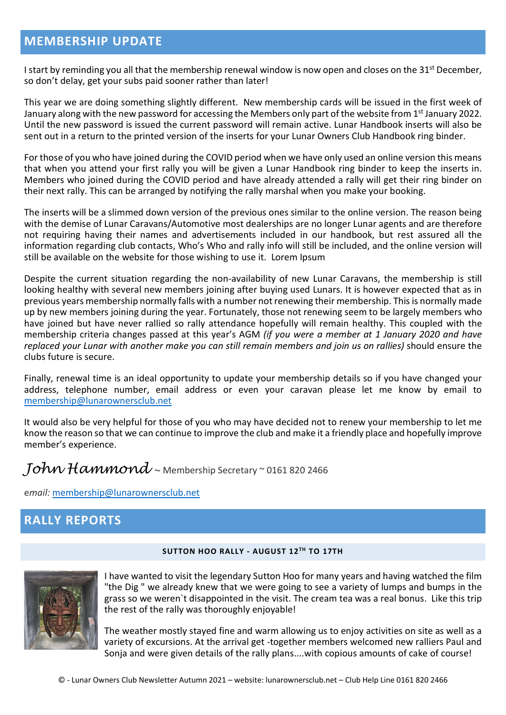### **MEMBERSHIP UPDATE**

I start by reminding you all that the membership renewal window is now open and closes on the 31<sup>st</sup> December, so don't delay, get your subs paid sooner rather than later!

This year we are doing something slightly different. New membership cards will be issued in the first week of January along with the new password for accessing the Members only part of the website from  $1<sup>st</sup>$  January 2022. Until the new password is issued the current password will remain active. Lunar Handbook inserts will also be sent out in a return to the printed version of the inserts for your Lunar Owners Club Handbook ring binder.

For those of you who have joined during the COVID period when we have only used an online version this means that when you attend your first rally you will be given a Lunar Handbook ring binder to keep the inserts in. Members who joined during the COVID period and have already attended a rally will get their ring binder on their next rally. This can be arranged by notifying the rally marshal when you make your booking.

The inserts will be a slimmed down version of the previous ones similar to the online version. The reason being with the demise of Lunar Caravans/Automotive most dealerships are no longer Lunar agents and are therefore not requiring having their names and advertisements included in our handbook, but rest assured all the information regarding club contacts, Who's Who and rally info will still be included, and the online version will still be available on the website for those wishing to use it. Lorem Ipsum

Despite the current situation regarding the non-availability of new Lunar Caravans, the membership is still looking healthy with several new members joining after buying used Lunars. It is however expected that as in previous years membership normally falls with a number not renewing their membership. This is normally made up by new members joining during the year. Fortunately, those not renewing seem to be largely members who have joined but have never rallied so rally attendance hopefully will remain healthy. This coupled with the membership criteria changes passed at this year's AGM *(if you were a member at 1 January 2020 and have replaced your Lunar with another make you can still remain members and join us on rallies)* should ensure the clubs future is secure.

Finally, renewal time is an ideal opportunity to update your membership details so if you have changed your address, telephone number, email address or even your caravan please let me know by email to [membership@lunarownersclub.net](mailto:membership@lunarownersclub.net)

It would also be very helpful for those of you who may have decided not to renew your membership to let me know the reason so that we can continue to improve the club and make it a friendly place and hopefully improve member's experience.

# $Johw$   $Hammond$  ~ Membership Secretary ~ 0161 820 2466

e*mail:* [membership@lunarownersclub.net](mailto:membership@lunarownersclub.net)

# **RALLY REPORTS**

#### **SUTTON HOO RALLY - AUGUST 12TH TO 17TH**



I have wanted to visit the legendary Sutton Hoo for many years and having watched the film "the Dig " we already knew that we were going to see a variety of lumps and bumps in the grass so we weren`t disappointed in the visit. The cream tea was a real bonus. Like this trip the rest of the rally was thoroughly enjoyable!

The weather mostly stayed fine and warm allowing us to enjoy activities on site as well as a variety of excursions. At the arrival get -together members welcomed new ralliers Paul and Sonja and were given details of the rally plans....with copious amounts of cake of course!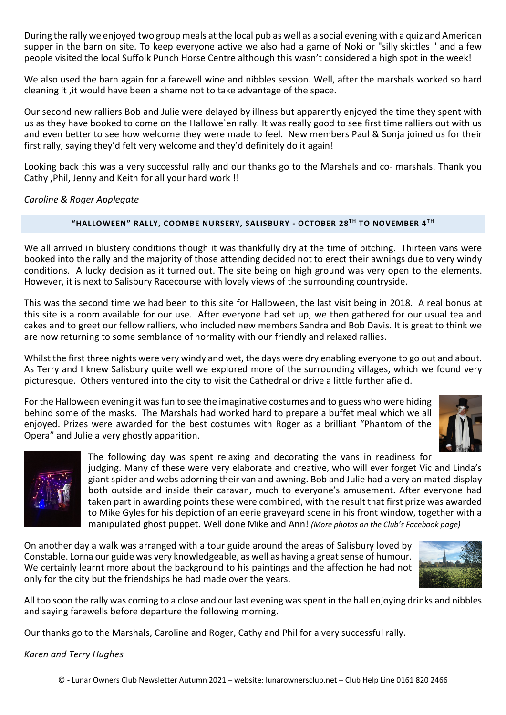During the rally we enjoyed two group meals at the local pub as well as a social evening with a quiz and American supper in the barn on site. To keep everyone active we also had a game of Noki or "silly skittles " and a few people visited the local Suffolk Punch Horse Centre although this wasn't considered a high spot in the week!

We also used the barn again for a farewell wine and nibbles session. Well, after the marshals worked so hard cleaning it ,it would have been a shame not to take advantage of the space.

Our second new ralliers Bob and Julie were delayed by illness but apparently enjoyed the time they spent with us as they have booked to come on the Hallowe`en rally. It was really good to see first time ralliers out with us and even better to see how welcome they were made to feel. New members Paul & Sonja joined us for their first rally, saying they'd felt very welcome and they'd definitely do it again!

Looking back this was a very successful rally and our thanks go to the Marshals and co- marshals. Thank you Cathy ,Phil, Jenny and Keith for all your hard work !!

*Caroline & Roger Applegate*

#### **"HALLOWEEN" RALLY, COOMBE NURSERY, SALISBURY - OCTOBER 28TH TO NOVEMBER 4TH**

We all arrived in blustery conditions though it was thankfully dry at the time of pitching. Thirteen vans were booked into the rally and the majority of those attending decided not to erect their awnings due to very windy conditions. A lucky decision as it turned out. The site being on high ground was very open to the elements. However, it is next to Salisbury Racecourse with lovely views of the surrounding countryside.

This was the second time we had been to this site for Halloween, the last visit being in 2018. A real bonus at this site is a room available for our use. After everyone had set up, we then gathered for our usual tea and cakes and to greet our fellow ralliers, who included new members Sandra and Bob Davis. It is great to think we are now returning to some semblance of normality with our friendly and relaxed rallies.

Whilst the first three nights were very windy and wet, the days were dry enabling everyone to go out and about. As Terry and I knew Salisbury quite well we explored more of the surrounding villages, which we found very picturesque. Others ventured into the city to visit the Cathedral or drive a little further afield.

For the Halloween evening it was fun to see the imaginative costumes and to guess who were hiding behind some of the masks. The Marshals had worked hard to prepare a buffet meal which we all enjoyed. Prizes were awarded for the best costumes with Roger as a brilliant "Phantom of the Opera" and Julie a very ghostly apparition.





The following day was spent relaxing and decorating the vans in readiness for judging. Many of these were very elaborate and creative, who will ever forget Vic and Linda's giant spider and webs adorning their van and awning. Bob and Julie had a very animated display both outside and inside their caravan, much to everyone's amusement. After everyone had taken part in awarding points these were combined, with the result that first prize was awarded to Mike Gyles for his depiction of an eerie graveyard scene in his front window, together with a manipulated ghost puppet. Well done Mike and Ann! *(More photos on the Club's Facebook page)*

On another day a walk was arranged with a tour guide around the areas of Salisbury loved by Constable. Lorna our guide was very knowledgeable, as well as having a great sense of humour. We certainly learnt more about the background to his paintings and the affection he had not only for the city but the friendships he had made over the years.



All too soon the rally was coming to a close and our last evening was spent in the hall enjoying drinks and nibbles and saying farewells before departure the following morning.

Our thanks go to the Marshals, Caroline and Roger, Cathy and Phil for a very successful rally.

#### *Karen and Terry Hughes*